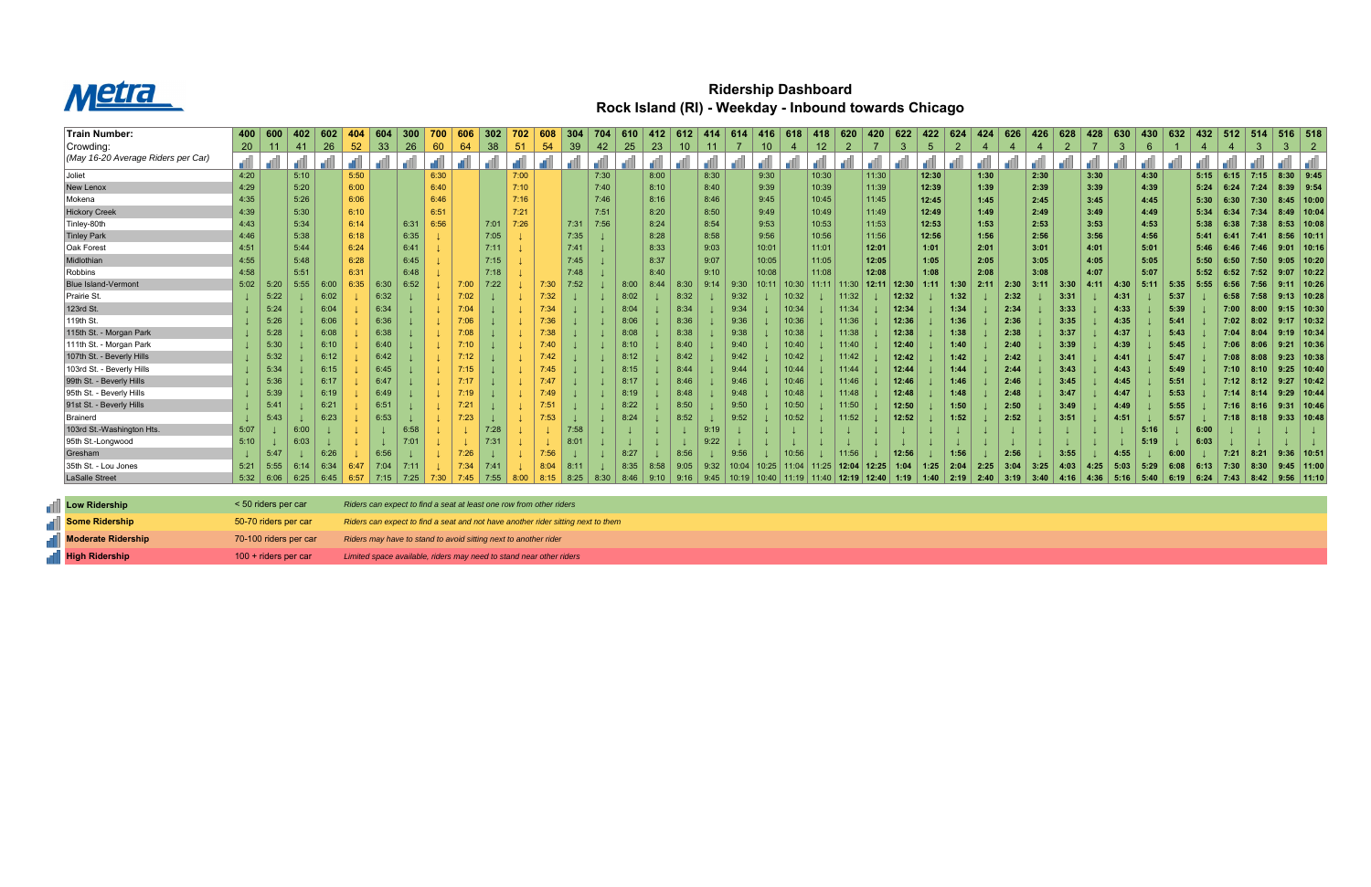

## **Ridership Dashboard Rock Island (RI) - Weekday - Inbound towards Chicago**

| Train Number:                                                                                                      | 400  | 600         | 402  | 602  | 404             | 604  | 300  |       | 606             | 302  | 702  | 608  | 304           | 704  | 610  | 412  | 612  | 414  | 614   | 416   | 618   | 418             | 620         | 420   | 622   | 422   | 624            | 424  | 626  | 426  | 628            | 428  | 630  | 430  | 632  | 432  | 512         | ∣ 514 |             | $516$ 518      |
|--------------------------------------------------------------------------------------------------------------------|------|-------------|------|------|-----------------|------|------|-------|-----------------|------|------|------|---------------|------|------|------|------|------|-------|-------|-------|-----------------|-------------|-------|-------|-------|----------------|------|------|------|----------------|------|------|------|------|------|-------------|-------|-------------|----------------|
| Crowding:                                                                                                          | 20   | 11          | -41  | 26   | 52 <sub>2</sub> | 33   | 26   | 60    | 64              | 38   | 51   | 54   | 39            | 42   | 25   | 23   | 10   | 11   |       | 10    | 4     | 12 <sub>1</sub> | 2           |       | 3     | 5     | $\overline{2}$ |      |      |      | $\overline{2}$ |      | 3    | 6    |      | 4    | 4           | 3     | 3           | 2              |
| (May 16-20 Average Riders per Car)                                                                                 | æ    |             |      |      |                 |      |      |       |                 |      |      |      |               |      |      |      |      |      |       |       |       |                 |             |       |       |       |                |      |      |      |                |      |      |      |      |      |             |       |             |                |
| Joliet                                                                                                             | 4:20 |             | 5:10 |      | 5:50            |      |      | 6:30  |                 |      | 7:00 |      |               | 7:30 |      | 8:00 |      | 8:30 |       | 9:30  |       | 10:30           |             | 11:30 |       | 12:30 |                | 1:30 |      | 2:30 |                | 3:30 |      | 4:30 |      | 5:15 | $6:15$ 7:15 |       | $8:30$ 9:45 |                |
| New Lenox                                                                                                          | 4:29 |             | 5:20 |      | 6:00            |      |      | 6:40  |                 |      | 7:10 |      |               | 7:40 |      | 8:10 |      | 8:40 |       | 9:39  |       | 10:39           |             | 11:39 |       | 12:39 |                | 1:39 |      | 2:39 |                | 3:39 |      | 4:39 |      | 5:24 | 6:24        | 7:24  | $8:39$ 9:54 |                |
| Mokena                                                                                                             | 4:35 |             | 5:26 |      | 6:06            |      |      | 6:46  |                 |      | 7:16 |      |               | 7:46 |      | 8:16 |      | 8:46 |       | 9:45  |       | 10:45           |             | 11:45 |       | 12:45 |                | 1:45 |      | 2:45 |                | 3:45 |      | 4:45 |      | 5:30 | 6:30        | 7:30  | 8:45        | 10:00          |
| <b>Hickory Creek</b>                                                                                               | 4:39 |             | 5:30 |      | 6:10            |      |      | 6:51  |                 |      | 7:21 |      |               | 7:51 |      | 8:20 |      | 8:50 |       | 9:49  |       | 10:49           |             | 11:49 |       | 12:49 |                | 1:49 |      | 2:49 |                | 3:49 |      | 4:49 |      | 5:34 | 6:34        | 7:34  |             | $8:49$   10:04 |
| Tinley-80th                                                                                                        | 4:43 |             | 5:34 |      | 6:14            |      | 6:31 | 6:56  |                 | 7:01 | 7:26 |      | 7:31          | 7:56 |      | 8:24 |      | 8:54 |       | 9:53  |       | 10:53           |             | 11:53 |       | 12:53 |                | 1:53 |      | 2:53 |                | 3:53 |      | 4:53 |      | 5:38 | 6:38        | 7:38  | 8:53        | 10:08          |
| <b>Tinley Park</b>                                                                                                 | 4:46 |             | 5:38 |      | 6:18            |      | 6:35 |       |                 | 7:05 |      |      | 7:35          |      |      | 8:28 |      | 8:58 |       | 9:56  |       | 10:56           |             | 11:56 |       | 12:56 |                | 1:56 |      | 2:56 |                | 3:56 |      | 4:56 |      | 5:41 | 6:41        | 7:41  | 8:56        | 10:11          |
| Oak Forest                                                                                                         | 4:51 |             | 5:44 |      | 6:24            |      | 6:41 |       |                 | 7:11 |      |      | 7:41          |      |      | 8:33 |      | 9:03 |       | 10:01 |       | 11:01           |             | 12:01 |       | 1:01  |                | 2:01 |      | 3:01 |                | 4:01 |      | 5:01 |      | 5:46 | 6:46        | 7:46  | 9:01        | 10:16          |
| Midlothian                                                                                                         | 4:55 |             | 5:48 |      | 6:28            |      | 6:45 |       |                 | 7:15 |      |      | 7:45          |      |      | 8:37 |      | 9:07 |       | 10:05 |       | 11:05           |             | 12:05 |       | 1:05  |                | 2:05 |      | 3:05 |                | 4:05 |      | 5:05 |      | 5:50 | 6:50        | 7:50  | 9:05        | 10:20          |
| Robbins                                                                                                            | 4:58 |             | 5:51 |      | 6:31            |      | 6:48 |       |                 | 7:18 |      |      | 7:48          |      |      | 8:40 |      | 9:10 |       | 10:08 |       | 11:08           |             | 12:08 |       | 1:08  |                | 2:08 |      | 3:08 |                | 4:07 |      | 5:07 |      | 5:52 | 6:52        | 7:52  | 9:07        | 10:22          |
| <b>Blue Island-Vermont</b>                                                                                         | 5:02 | 5:20        | 5:55 | 6:00 | 6:35            | 6:30 | 6:52 |       | 7:00            | 7:22 |      | 7:30 | 7:52          |      | 8:00 | 8:44 | 8:30 | 9:14 | 9:30  | 10:11 | 10:30 |                 | 11:11 11:30 | 12:11 | 12:30 | 1:11  | 1:30           | 2:11 | 2:30 | 3:11 | 3:30           | 4:11 | 4:30 | 5:11 | 5:35 | 5:55 | 6:56        | 7:56  | 9:11        | 10:26          |
| Prairie St.                                                                                                        |      | 5:22        |      | 6:02 |                 | 6:32 |      |       | 7:02            |      |      | 7:32 |               |      | 8:02 |      | 8:32 |      | 9:32  |       | 10:32 |                 | 11:32       |       | 12:32 |       | 1:32           |      | 2:32 |      | 3:31           |      | 4:31 |      | 5:37 |      | 6:58        | 7:58  |             | $9:13$   10:28 |
| 123rd St.                                                                                                          |      | 5:24        |      | 6:04 |                 | 6:34 |      |       | 7:04            |      |      | 7:34 |               |      | 8:04 |      | 8:34 |      | 9:34  |       | 10:34 |                 | 11:34       |       | 12:34 |       | 1:34           |      | 2:34 |      | 3:33           |      | 4:33 |      | 5:39 |      | 7:00        | 8:00  |             | $9:15$ 10:30   |
| 119th St.                                                                                                          |      | 5:26        |      | 6:06 |                 | 6:36 |      |       | 7:06            |      |      | 7:36 |               |      | 8:06 |      | 8:36 |      | 9:36  |       | 10:36 |                 | 11:36       |       | 12:36 |       | 1:36           |      | 2:36 |      | 3:35           |      | 4:35 |      | 5:41 |      | 7:02        | 8:02  | 9:17        | 10:32          |
| 115th St. - Morgan Park                                                                                            |      | 5:28        |      | 6:08 |                 | 6:38 |      |       | 7:08            |      |      | 7:38 |               |      | 8:08 |      | 8:38 |      | 9:38  |       | 10:38 |                 | 11:38       |       | 12:38 |       | 1:38           |      | 2:38 |      | 3:37           |      | 4:37 |      | 5:43 |      | 7:04        | 8:04  | 9:19        | 10:34          |
| 111th St. - Morgan Park                                                                                            |      | 5:30        |      | 6:10 |                 | 6:40 |      |       |                 |      |      | 7:40 |               |      | 8:10 |      | 8:40 |      | 9:40  |       | 10:40 |                 | 11:40       |       | 12:40 |       | 1:40           |      | 2:40 |      | 3:39           |      | 4:39 |      | 5:45 |      | 7:06        | 8:06  | 9:21        | 10:36          |
| 107th St. - Beverly Hills                                                                                          |      | 5:32        |      | 6:12 |                 | 6:42 |      |       | $^{\prime}$ :12 |      |      | 7:42 |               |      | 8:12 |      | 8:42 |      | 9:42  |       | 10:42 |                 | 11:42       |       | 12:42 |       | 1:42           |      | 2:42 |      | 3:41           |      | 4:41 |      | 5:47 |      | 7:08        | 8:08  |             | $9:23$   10:38 |
| 103rd St. - Beverly Hills                                                                                          |      | 5:34        |      | 6:15 |                 | 6:45 |      |       | 7:15            |      |      | 7:45 |               |      | 8:15 |      | 8:44 |      | 9:44  |       | 10:44 |                 | 11:44       |       | 12:44 |       | 1:44           |      | 2:44 |      | 3:43           |      | 4:43 |      | 5:49 |      | 7:10        | 8:10  |             | $9:25$ 10:40   |
| 99th St. - Beverly Hills                                                                                           |      | 5:36        |      | 6:17 |                 | 6:47 |      |       |                 |      |      | 7:47 |               |      | 8:17 |      | 8:46 |      | 9:46  |       | 10:46 |                 | 11:46       |       | 12:46 |       | 1:46           |      | 2:46 |      | 3:45           |      | 4:45 |      | 5:51 |      | 7:12        | 8:12  | 9:27        | 10:42          |
| 95th St. - Beverly Hills                                                                                           |      | 5:39        |      | 6:19 |                 | 6:49 |      |       | 7:19            |      |      | 7:49 |               |      | 8:19 |      | 8:48 |      | 9:48  |       | 10:48 |                 | 11:48       |       | 12:48 |       | 1:48           |      | 2:48 |      | 3:47           |      | 4:47 |      | 5:53 |      | 7:14        | 8:14  | 9:29        | 10:44          |
| 91st St. - Beverly Hills                                                                                           |      | 5:4'        |      | 6:21 |                 | 6:51 |      |       | 7:21            |      |      | 7:51 |               |      | 8:22 |      | 8:50 |      | 9:50  |       | 10:50 |                 | 11:50       |       | 12:50 |       | 1:50           |      | 2:50 |      | 3:49           |      | 4:49 |      | 5:55 |      | 7:16        |       | 9:31        | 10:46          |
| Brainerd                                                                                                           |      | 5:43        |      | 6:23 |                 | 6:53 |      |       | 7:23            |      |      | 7:53 |               |      | 8:24 |      | 8:52 |      | 9:52  |       | 10:52 |                 | 11:52       |       | 12:52 |       | 1:52           |      | 2:52 |      | 3:51           |      | 4:51 |      | 5:57 |      | 7:18        | 8:18  |             | $9:33$   10:48 |
| 103rd St.-Washington Hts.                                                                                          | 5:07 |             | 6:00 |      |                 |      | 6:58 |       |                 | 7:28 |      |      | 7:58          |      |      |      |      |      |       |       |       |                 |             |       |       |       |                |      |      |      |                |      |      | 5:16 |      | 6:00 |             |       |             |                |
| 95th St.-Longwood                                                                                                  | 5:10 |             | 6:03 |      |                 |      | 7:01 |       |                 | 7:31 |      |      | $8:0^{\circ}$ |      |      |      |      | 9:22 |       |       |       |                 |             |       |       |       |                |      |      |      |                |      |      | 5:19 |      | 6:03 |             |       |             |                |
| Gresham                                                                                                            |      | 5:47        |      | 6:26 |                 | 6:56 |      |       | 7:26            |      |      | 7:56 |               |      | 8:27 |      | 8:56 |      | 9:56  |       | 10:56 |                 | 11:56       |       | 12:56 |       | 1:56           |      | 2:56 |      | 3:55           |      | 4:55 |      | 6:00 |      | 7:21        | 8:21  |             | $9:36$   10:51 |
| 35th St. - Lou Jones                                                                                               | 5:21 | 5:55        | 6:14 | 6:34 | 6:47            | 7:04 |      |       | 7:34            |      |      | 8:04 | 8:1           |      | 8:35 | 8:58 | 9:05 | 9:32 | 10:04 | 10:25 |       | $11:04$ 11:25   | 12:04       | 12:25 | 1:04  | 1:25  | 2:04           | 2:25 | 3:04 | 3:25 | 4:03           | 4:25 | 5:03 | 5:29 | 6:08 | 6:13 | 7:30        | 8:30  |             | $9:45$ 11:00   |
| LaSalle Street                                                                                                     |      | $5:32$ 6:06 | 6:25 | 6:45 | 6:57            | 7:15 | 7:25 | 7:30. | 7:45            | 7:55 | 8:00 | 8:15 | 8:25          | 8:30 | 8:46 | 9:10 | 9:16 | 9:45 | 10:19 | 10:40 |       | 11:19   11:40   | 12:19       | 12:40 | 1:19  | 1:40  | 2:19           | 2:40 | 3:19 | 3:40 | 4:16           | 4:36 | 5:16 | 5:40 | 6:19 | 6:24 | 7:43        | 8:42  |             | $9:56$   11:10 |
|                                                                                                                    |      |             |      |      |                 |      |      |       |                 |      |      |      |               |      |      |      |      |      |       |       |       |                 |             |       |       |       |                |      |      |      |                |      |      |      |      |      |             |       |             |                |
| <b>Low Ridership</b><br>< 50 riders per car<br>Riders can expect to find a seat at least one row from other riders |      |             |      |      |                 |      |      |       |                 |      |      |      |               |      |      |      |      |      |       |       |       |                 |             |       |       |       |                |      |      |      |                |      |      |      |      |      |             |       |             |                |

| Low Ridership                 | < 50 riders per car    | Riders can expect to find a seat at least one row from other riders              |
|-------------------------------|------------------------|----------------------------------------------------------------------------------|
| <b>Some Ridership</b>         | 50-70 riders per car   | Riders can expect to find a seat and not have another rider sitting next to them |
| <b>THE Moderate Ridership</b> | 70-100 riders per car  | Riders may have to stand to avoid sitting next to another rider                  |
| <b>High Ridership</b>         | $100 +$ riders per car | Limited space available, riders may need to stand near other riders              |